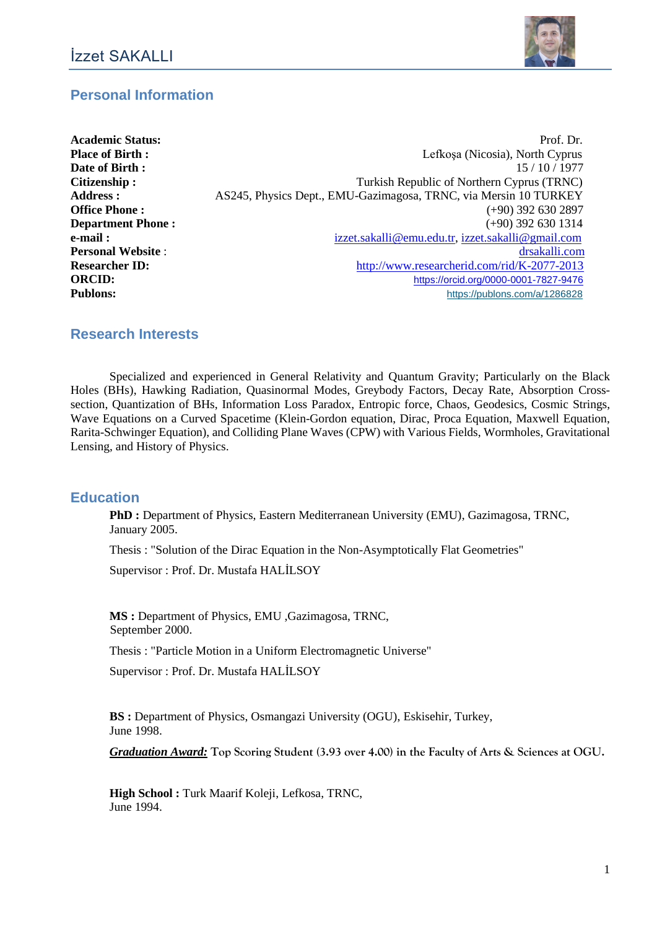

# **Personal Information**

| <b>Academic Status:</b>  | Prof. Dr.                                                        |
|--------------------------|------------------------------------------------------------------|
| <b>Place of Birth :</b>  | Lefkosa (Nicosia), North Cyprus                                  |
| Date of Birth:           | 15/10/1977                                                       |
| Citizenship:             | Turkish Republic of Northern Cyprus (TRNC)                       |
| <b>Address:</b>          | AS245, Physics Dept., EMU-Gazimagosa, TRNC, via Mersin 10 TURKEY |
| <b>Office Phone:</b>     | $(+90)$ 392 630 2897                                             |
| <b>Department Phone:</b> | $(+90)$ 392 630 1314                                             |
| e-mail :                 | izzet.sakalli@emu.edu.tr, izzet.sakalli@gmail.com                |
| <b>Personal Website:</b> | drsakalli.com                                                    |
| <b>Researcher ID:</b>    | http://www.researcherid.com/rid/K-2077-2013                      |
| <b>ORCID:</b>            | https://orcid.org/0000-0001-7827-9476                            |
| <b>Publons:</b>          | https://publons.com/a/1286828                                    |

#### **Research Interests**

Specialized and experienced in General Relativity and Quantum Gravity; Particularly on the Black Holes (BHs), Hawking Radiation, Quasinormal Modes, Greybody Factors, Decay Rate, Absorption Crosssection, Quantization of BHs, Information Loss Paradox, Entropic force, Chaos, Geodesics, Cosmic Strings, Wave Equations on a Curved Spacetime (Klein-Gordon equation, Dirac, Proca Equation, Maxwell Equation, Rarita-Schwinger Equation), and Colliding Plane Waves (CPW) with Various Fields, Wormholes, Gravitational Lensing, and History of Physics.

#### **Education**

**PhD :** Department of Physics, Eastern Mediterranean University (EMU), Gazimagosa, TRNC, January 2005.

Thesis : "Solution of the Dirac Equation in the Non-Asymptotically Flat Geometries"

Supervisor : Prof. Dr. Mustafa HALİLSOY

**MS :** Department of Physics, EMU ,Gazimagosa, TRNC, September 2000.

Thesis : "Particle Motion in a Uniform Electromagnetic Universe"

Supervisor : Prof. Dr. Mustafa HALİLSOY

**BS :** Department of Physics, Osmangazi University (OGU), Eskisehir, Turkey, June 1998.

*Graduation Award:* **Top Scoring Student (3.93 over 4.00) in the Faculty of Arts & Sciences at OGU.**

**High School :** Turk Maarif Koleji, Lefkosa, TRNC, June 1994.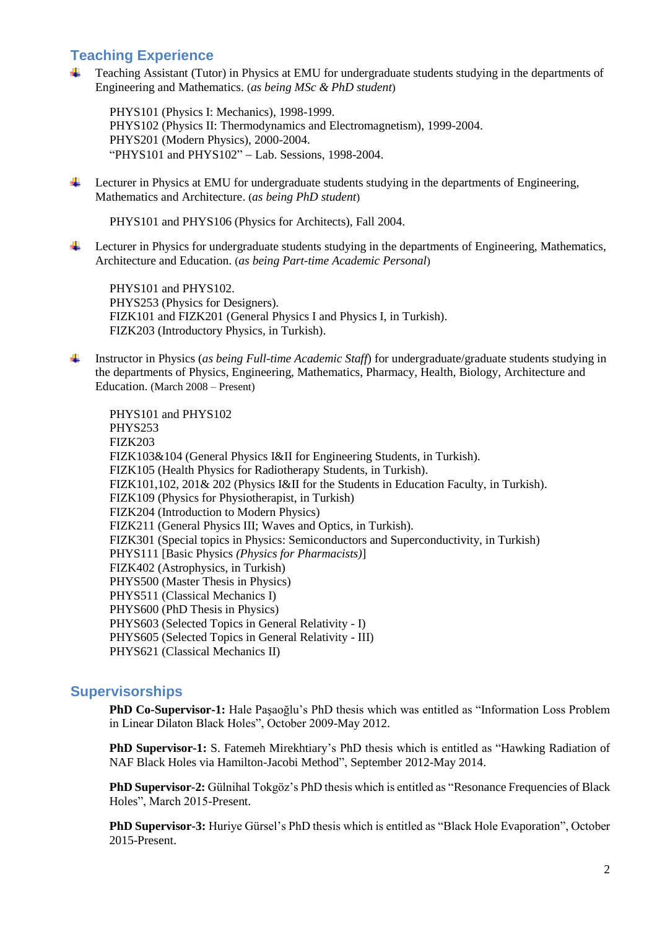### **Teaching Experience**

 $\ddot{\bullet}$ Teaching Assistant (Tutor) in Physics at EMU for undergraduate students studying in the departments of Engineering and Mathematics. (*as being MSc & PhD student*)

PHYS101 (Physics I: Mechanics), 1998-1999. PHYS102 (Physics II: Thermodynamics and Electromagnetism), 1999-2004. PHYS201 (Modern Physics), 2000-2004. "PHYS101 and PHYS102" - Lab. Sessions, 1998-2004.

÷ Lecturer in Physics at EMU for undergraduate students studying in the departments of Engineering, Mathematics and Architecture. (*as being PhD student*)

PHYS101 and PHYS106 (Physics for Architects), Fall 2004.

Lecturer in Physics for undergraduate students studying in the departments of Engineering, Mathematics, ₩. Architecture and Education. (*as being Part-time Academic Personal*)

PHYS101 and PHYS102. PHYS253 (Physics for Designers). FIZK101 and FIZK201 (General Physics I and Physics I, in Turkish). FIZK203 (Introductory Physics, in Turkish).

÷ Instructor in Physics (*as being Full-time Academic Staff*) for undergraduate/graduate students studying in the departments of Physics, Engineering, Mathematics, Pharmacy, Health, Biology, Architecture and Education. (March 2008 – Present)

PHYS101 and PHYS102 PHYS253 FIZK203 FIZK103&104 (General Physics I&II for Engineering Students, in Turkish). FIZK105 (Health Physics for Radiotherapy Students, in Turkish). FIZK101,102, 201& 202 (Physics I&II for the Students in Education Faculty, in Turkish). FIZK109 (Physics for Physiotherapist, in Turkish) FIZK204 (Introduction to Modern Physics) FIZK211 (General Physics III; Waves and Optics, in Turkish). FIZK301 (Special topics in Physics: Semiconductors and Superconductivity, in Turkish) PHYS111 [Basic Physics *(Physics for Pharmacists)*] FIZK402 (Astrophysics, in Turkish) PHYS500 (Master Thesis in Physics) PHYS511 (Classical Mechanics I) PHYS600 (PhD Thesis in Physics) PHYS603 (Selected Topics in General Relativity - I) PHYS605 (Selected Topics in General Relativity - III) PHYS621 (Classical Mechanics II)

#### **Supervisorships**

**PhD Co-Supervisor-1:** Hale Paşaoğlu's PhD thesis which was entitled as "Information Loss Problem in Linear Dilaton Black Holes", October 2009-May 2012.

**PhD Supervisor-1:** S. Fatemeh Mirekhtiary's PhD thesis which is entitled as "Hawking Radiation of NAF Black Holes via Hamilton-Jacobi Method", September 2012-May 2014.

**PhD Supervisor-2:** Gülnihal Tokgöz's PhD thesis which is entitled as "Resonance Frequencies of Black Holes", March 2015-Present.

**PhD Supervisor-3:** Huriye Gürsel's PhD thesis which is entitled as "Black Hole Evaporation", October 2015-Present.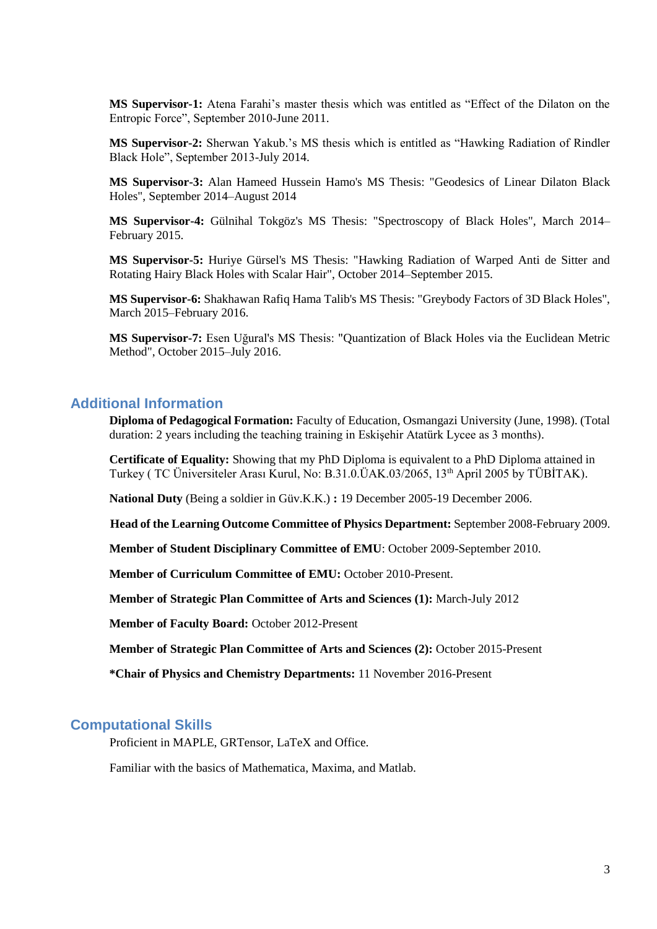**MS Supervisor-1:** Atena Farahi's master thesis which was entitled as "Effect of the Dilaton on the Entropic Force", September 2010-June 2011.

**MS Supervisor-2:** Sherwan Yakub.'s MS thesis which is entitled as "Hawking Radiation of Rindler Black Hole", September 2013-July 2014.

**MS Supervisor-3:** Alan Hameed Hussein Hamo's MS Thesis: "Geodesics of Linear Dilaton Black Holes", September 2014–August 2014

**MS Supervisor-4:** Gülnihal Tokgöz's MS Thesis: "Spectroscopy of Black Holes", March 2014– February 2015.

**MS Supervisor-5:** Huriye Gürsel's MS Thesis: "Hawking Radiation of Warped Anti de Sitter and Rotating Hairy Black Holes with Scalar Hair", October 2014–September 2015.

**MS Supervisor-6:** Shakhawan Rafiq Hama Talib's MS Thesis: "Greybody Factors of 3D Black Holes", March 2015–February 2016.

**MS Supervisor-7:** Esen Uğural's MS Thesis: "Quantization of Black Holes via the Euclidean Metric Method", October 2015–July 2016.

#### **Additional Information**

**Diploma of Pedagogical Formation:** Faculty of Education, Osmangazi University (June, 1998). (Total duration: 2 years including the teaching training in Eskişehir Atatürk Lycee as 3 months).

**Certificate of Equality:** Showing that my PhD Diploma is equivalent to a PhD Diploma attained in Turkey ( TC Üniversiteler Arası Kurul, No: B.31.0.ÜAK.03/2065, 13th April 2005 by TÜBİTAK).

**National Duty** (Being a soldier in Güv.K.K.) **:** 19 December 2005-19 December 2006.

**Head of the Learning Outcome Committee of Physics Department:** September 2008-February 2009.

**Member of Student Disciplinary Committee of EMU**: October 2009-September 2010.

**Member of Curriculum Committee of EMU:** October 2010-Present.

**Member of Strategic Plan Committee of Arts and Sciences (1):** March-July 2012

**Member of Faculty Board:** October 2012-Present

**Member of Strategic Plan Committee of Arts and Sciences (2):** October 2015-Present

**\*Chair of Physics and Chemistry Departments:** 11 November 2016-Present

#### **Computational Skills**

Proficient in MAPLE, GRTensor, LaTeX and Office.

Familiar with the basics of Mathematica, Maxima, and Matlab.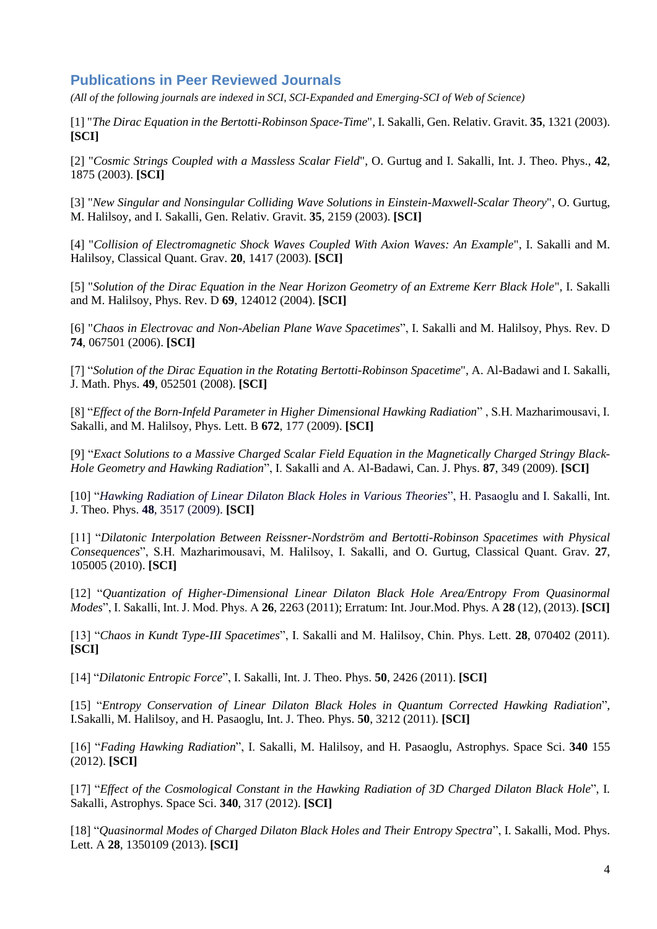## **Publications in Peer Reviewed Journals**

*(All of the following journals are indexed in SCI, SCI-Expanded and Emerging-SCI of Web of Science)*

[1] "*The Dirac Equation in the Bertotti-Robinson Space-Time*", I. Sakalli, Gen. Relativ. Gravit. **35**, 1321 (2003). **[SCI]**

[2] "*Cosmic Strings Coupled with a Massless Scalar Field*", O. Gurtug and I. Sakalli, Int. J. Theo. Phys., **42**, 1875 (2003). **[SCI]**

[3] "*New Singular and Nonsingular Colliding Wave Solutions in Einstein-Maxwell-Scalar Theory*", O. Gurtug, M. Halilsoy, and I. Sakalli, Gen. Relativ. Gravit. **35**, 2159 (2003). **[SCI]**

[4] "*Collision of Electromagnetic Shock Waves Coupled With Axion Waves: An Example*", I. Sakalli and M. Halilsoy, Classical Quant. Grav. **20**, 1417 (2003). **[SCI]**

[5] "*Solution of the Dirac Equation in the Near Horizon Geometry of an Extreme Kerr Black Hole*", I. Sakalli and M. Halilsoy, Phys. Rev. D **69**, 124012 (2004). **[SCI]**

[6] "*Chaos in Electrovac and Non-Abelian Plane Wave Spacetimes*", I. Sakalli and M. Halilsoy, Phys. Rev. D **74**, 067501 (2006). **[SCI]**

[7] "*Solution of the Dirac Equation in the Rotating Bertotti-Robinson Spacetime*", A. Al-Badawi and I. Sakalli, J. Math. Phys. **49**, 052501 (2008). **[SCI]**

[8] "*Effect of the Born-Infeld Parameter in Higher Dimensional Hawking Radiation*" , S.H. Mazharimousavi, I. Sakalli, and M. Halilsoy, Phys. Lett. B **672**, 177 (2009). **[SCI]**

[9] "*Exact Solutions to a Massive Charged Scalar Field Equation in the Magnetically Charged Stringy Black-Hole Geometry and Hawking Radiation*", I. Sakalli and A. Al-Badawi, Can. J. Phys. **87**, 349 (2009). **[SCI]**

[10] "*Hawking Radiation of Linear Dilaton Black Holes in Various Theories*", H. Pasaoglu and I. Sakalli, Int. J. Theo. Phys. **48**, 3517 (2009). **[SCI]**

[11] "*Dilatonic Interpolation Between Reissner-Nordström and Bertotti-Robinson Spacetimes with Physical Consequences*", S.H. Mazharimousavi, M. Halilsoy, I. Sakalli, and O. Gurtug, Classical Quant. Grav. **27**, 105005 (2010). **[SCI]**

[12] "*Quantization of Higher-Dimensional Linear Dilaton Black Hole Area/Entropy From Quasinormal Modes*", I. Sakalli, Int. J. Mod. Phys. A **26**, 2263 (2011); Erratum: Int. Jour.Mod. Phys. A **28** (12), (2013). **[SCI]**

[13] "*Chaos in Kundt Type-III Spacetimes*", I. Sakalli and M. Halilsoy, Chin. Phys. Lett. **28**, 070402 (2011). **[SCI]**

[14] "*Dilatonic Entropic Force*", I. Sakalli, Int. J. Theo. Phys. **50**, 2426 (2011). **[SCI]**

[15] "*Entropy Conservation of Linear Dilaton Black Holes in Quantum Corrected Hawking Radiation*", I.Sakalli, M. Halilsoy, and H. Pasaoglu, Int. J. Theo. Phys. **50**, 3212 (2011). **[SCI]**

[16] "*Fading Hawking Radiation*", I. Sakalli, M. Halilsoy, and H. Pasaoglu, Astrophys. Space Sci. **340** 155 (2012). **[SCI]**

[17] "*Effect of the Cosmological Constant in the Hawking Radiation of 3D Charged Dilaton Black Hole*", I. Sakalli, Astrophys. Space Sci. **340**, 317 (2012). **[SCI]**

[18] "*Quasinormal Modes of Charged Dilaton Black Holes and Their Entropy Spectra*", I. Sakalli, Mod. Phys. Lett. A **28**, 1350109 (2013). **[SCI]**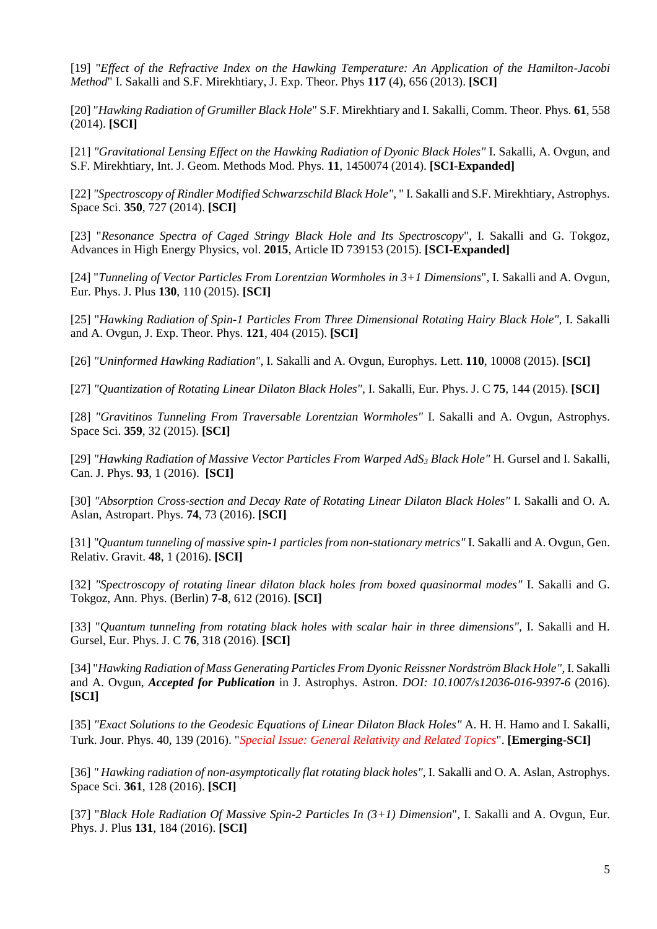[19] "*Effect of the Refractive Index on the Hawking Temperature: An Application of the Hamilton-Jacobi Method*" I. Sakalli and S.F. Mirekhtiary, J. Exp. Theor. Phys **117** (4), 656 (2013). **[SCI]**

[20] "*Hawking Radiation of Grumiller Black Hole*" S.F. Mirekhtiary and I. Sakalli, Comm. Theor. Phys. **61**, 558 (2014). **[SCI]**

[21] *"Gravitational Lensing Effect on the Hawking Radiation of Dyonic Black Holes"* I. Sakalli, A. Ovgun, and S.F. Mirekhtiary, Int. J. Geom. Methods Mod. Phys. **11**, 1450074 (2014). **[SCI-Expanded]**

[22] *"Spectroscopy of Rindler Modified Schwarzschild Black Hole",* "I. Sakalli and S.F. Mirekhtiary, Astrophys. Space Sci. **350**, 727 (2014). **[SCI]**

[23] "*Resonance Spectra of Caged Stringy Black Hole and Its Spectroscopy*", I. Sakalli and G. Tokgoz, Advances in High Energy Physics, vol. **2015**, Article ID 739153 (2015). **[SCI-Expanded]**

[24] "*Tunneling of Vector Particles From Lorentzian Wormholes in 3+1 Dimensions*", I. Sakalli and A. Ovgun, Eur. Phys. J. Plus **130**, 110 (2015). **[SCI]**

[25] "*Hawking Radiation of Spin-1 Particles From Three Dimensional Rotating Hairy Black Hole", I. Sakalli* and A. Ovgun, J. Exp. Theor. Phys. **121**, 404 (2015). **[SCI]**

[26] *"Uninformed Hawking Radiation",* I. Sakalli and A. Ovgun, Europhys. Lett. **110**, 10008 (2015). **[SCI]**

[27] *"Quantization of Rotating Linear Dilaton Black Holes",* I. Sakalli, Eur. Phys. J. C **75**, 144 (2015). **[SCI]**

[28] *"Gravitinos Tunneling From Traversable Lorentzian Wormholes"* I. Sakalli and A. Ovgun, Astrophys. Space Sci. **359**, 32 (2015). **[SCI]**

[29] *"Hawking Radiation of Massive Vector Particles From Warped AdS<sup>3</sup> Black Hole"* H. Gursel and I. Sakalli, Can. J. Phys. **93**, 1 (2016). **[SCI]**

[30] *"Absorption Cross-section and Decay Rate of Rotating Linear Dilaton Black Holes"* I. Sakalli and O. A. Aslan, Astropart. Phys. **74**, 73 (2016). **[SCI]**

[31] *"Quantum tunneling of massive spin-1 particles from non-stationary metrics"* I. Sakalli and A. Ovgun, Gen. Relativ. Gravit. **48**, 1 (2016). **[SCI]**

[32] *"Spectroscopy of rotating linear dilaton black holes from boxed quasinormal modes"* I. Sakalli and G. Tokgoz, Ann. Phys. (Berlin) **7-8**, 612 (2016). **[SCI]**

[33] "*Quantum tunneling from rotating black holes with scalar hair in three dimensions"*, I. Sakalli and H. Gursel, Eur. Phys. J. C **76**, 318 (2016). **[SCI]**

[34] "Hawking Radiation of Mass Generating Particles From Dyonic Reissner Nordström Black Hole", I. Sakalli and A. Ovgun, *Accepted for Publication* in J. Astrophys. Astron. *DOI: 10.1007/s12036-016-9397-6* (2016). **[SCI]**

[35] *"Exact Solutions to the Geodesic Equations of Linear Dilaton Black Holes"* A. H. H. Hamo and I. Sakalli, Turk. Jour. Phys. 40, 139 (2016). "*Special Issue: General Relativity and Related Topics*". **[Emerging-SCI]**

[36] *" Hawking radiation of non-asymptotically flat rotating black holes"*, I. Sakalli and O. A. Aslan, Astrophys. Space Sci. **361**, 128 (2016). **[SCI]**

[37] "*Black Hole Radiation Of Massive Spin-2 Particles In (3+1) Dimension*", I. Sakalli and A. Ovgun, Eur. Phys. J. Plus **131**, 184 (2016). **[SCI]**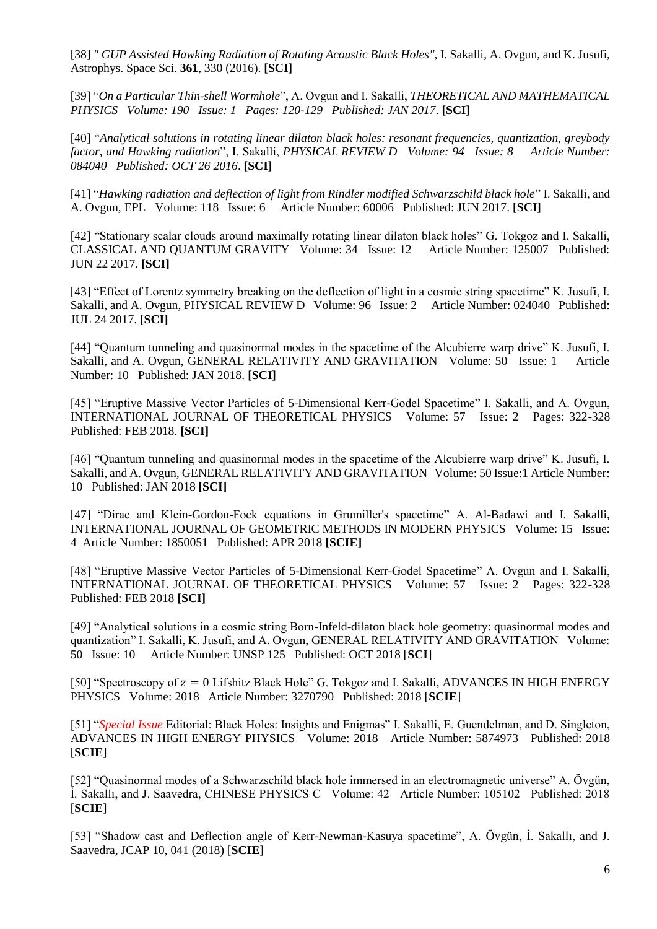[38] *" GUP Assisted Hawking Radiation of Rotating Acoustic Black Holes"*, I. Sakalli, A. Ovgun, and K. Jusufi, Astrophys. Space Sci. **361**, 330 (2016). **[SCI]**

[39] "*On a Particular Thin-shell Wormhole*", A. Ovgun and I. Sakalli, *THEORETICAL AND MATHEMATICAL PHYSICS Volume: 190 Issue: 1 Pages: 120-129 Published: JAN 2017*. **[SCI]**

[40] "*Analytical solutions in rotating linear dilaton black holes: resonant frequencies, quantization, greybody factor, and Hawking radiation*", I. Sakalli, *PHYSICAL REVIEW D Volume: 94 Issue: 8 Article Number: 084040 Published: OCT 26 2016*. **[SCI]**

[41] "*Hawking radiation and deflection of light from Rindler modified Schwarzschild black hole*" I. Sakalli, and A. Ovgun, EPL Volume: 118 Issue: 6 Article Number: 60006 Published: JUN 2017. **[SCI]**

[42] "Stationary scalar clouds around maximally rotating linear dilaton black holes" G. Tokgoz and I. Sakalli, CLASSICAL AND QUANTUM GRAVITY Volume: 34 Issue: 12 Article Number: 125007 Published: JUN 22 2017. **[SCI]**

[43] "Effect of Lorentz symmetry breaking on the deflection of light in a cosmic string spacetime" K. Jusufi, I. Sakalli, and A. Ovgun, PHYSICAL REVIEW D Volume: 96 Issue: 2 Article Number: 024040 Published: JUL 24 2017. **[SCI]**

[44] "Quantum tunneling and quasinormal modes in the spacetime of the Alcubierre warp drive" K. Jusufi, I. Sakalli, and A. Ovgun, GENERAL RELATIVITY AND GRAVITATION Volume: 50 Issue: 1 Article Number: 10 Published: JAN 2018. **[SCI]**

[45] "Eruptive Massive Vector Particles of 5-Dimensional Kerr-Godel Spacetime" I. Sakalli, and A. Ovgun, INTERNATIONAL JOURNAL OF THEORETICAL PHYSICS Volume: 57 Issue: 2 Pages: 322-328 Published: FEB 2018. **[SCI]**

[46] "Quantum tunneling and quasinormal modes in the spacetime of the Alcubierre warp drive" K. Jusufi, I. Sakalli, and A. Ovgun, GENERAL RELATIVITY AND GRAVITATION Volume: 50 Issue:1 Article Number: 10 Published: JAN 2018 **[SCI]**

[47] "Dirac and Klein-Gordon-Fock equations in Grumiller's spacetime" A. Al-Badawi and I. Sakalli, INTERNATIONAL JOURNAL OF GEOMETRIC METHODS IN MODERN PHYSICS Volume: 15 Issue: 4 Article Number: 1850051 Published: APR 2018 **[SCIE]**

[48] "Eruptive Massive Vector Particles of 5-Dimensional Kerr-Godel Spacetime" A. Ovgun and I. Sakalli, INTERNATIONAL JOURNAL OF THEORETICAL PHYSICS Volume: 57 Issue: 2 Pages: 322-328 Published: FEB 2018 **[SCI]**

[49] "Analytical solutions in a cosmic string Born-Infeld-dilaton black hole geometry: quasinormal modes and quantization" I. Sakalli, K. Jusufi, and A. Ovgun, GENERAL RELATIVITY AND GRAVITATION Volume: 50 Issue: 10 Article Number: UNSP 125 Published: OCT 2018 [**SCI**]

[50] "Spectroscopy of  $z = 0$  Lifshitz Black Hole" G. Tokgoz and I. Sakalli, ADVANCES IN HIGH ENERGY PHYSICS Volume: 2018 Article Number: 3270790 Published: 2018 [**SCIE**]

[51] "*Special Issue* Editorial: Black Holes: Insights and Enigmas" I. Sakalli, E. Guendelman, and D. Singleton, ADVANCES IN HIGH ENERGY PHYSICS Volume: 2018 Article Number: 5874973 Published: 2018 [**SCIE**]

[52] "Quasinormal modes of a Schwarzschild black hole immersed in an electromagnetic universe" A. Övgün, İ. Sakallı, and J. Saavedra, CHINESE PHYSICS C Volume: 42 Article Number: 105102 Published: 2018 [**SCIE**]

[53] "Shadow cast and Deflection angle of Kerr-Newman-Kasuya spacetime", A. Övgün, İ. Sakallı, and J. Saavedra, JCAP 10, 041 (2018) [**SCIE**]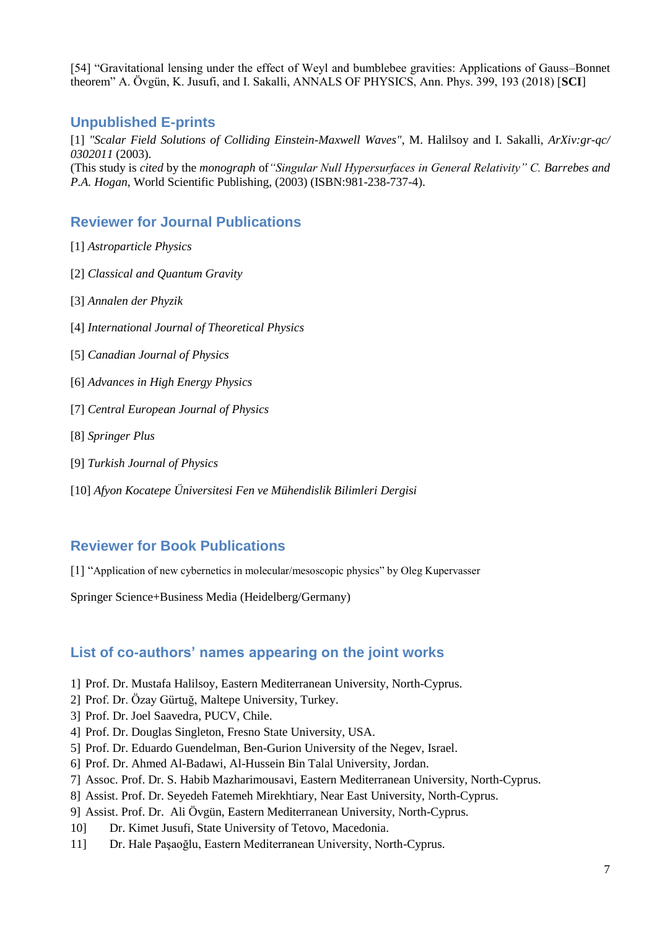[54] "Gravitational lensing under the effect of Weyl and bumblebee gravities: Applications of Gauss–Bonnet theorem" A. Övgün, K. Jusufi, and I. Sakalli, ANNALS OF PHYSICS, Ann. Phys. 399, 193 (2018) [**SCI**]

### **Unpublished E-prints**

[1] *"Scalar Field Solutions of Colliding Einstein-Maxwell Waves"*, M. Halilsoy and I. Sakalli, *ArXiv:gr-qc/ 0302011* (2003). (This study is *cited* by the *monograph* of*"Singular Null Hypersurfaces in General Relativity" C. Barrebes and P.A. Hogan*, World Scientific Publishing, (2003) (ISBN:981-238-737-4).

# **Reviewer for Journal Publications**

- [1] *Astroparticle Physics*
- [2] *Classical and Quantum Gravity*
- [3] *Annalen der Phyzik*
- [4] *International Journal of Theoretical Physics*
- [5] *Canadian Journal of Physics*
- [6] *Advances in High Energy Physics*
- [7] *Central European Journal of Physics*
- [8] *Springer Plus*
- [9] *Turkish Journal of Physics*
- [10] *Afyon Kocatepe Üniversitesi Fen ve Mühendislik Bilimleri Dergisi*

## **Reviewer for Book Publications**

[1] "Application of new cybernetics in molecular/mesoscopic physics" by Oleg Kupervasser

Springer Science+Business Media (Heidelberg/Germany)

## **List of co-authors' names appearing on the joint works**

- 1] Prof. Dr. Mustafa Halilsoy, Eastern Mediterranean University, North-Cyprus.
- 2] Prof. Dr. Özay Gürtuğ, Maltepe University, Turkey.
- 3] Prof. Dr. Joel Saavedra, PUCV, Chile.
- 4] Prof. Dr. Douglas Singleton, Fresno State University, USA.
- 5] Prof. Dr. Eduardo Guendelman, Ben-Gurion University of the Negev, Israel.
- 6] Prof. Dr. Ahmed Al-Badawi, Al-Hussein Bin Talal University, Jordan.
- 7] Assoc. Prof. Dr. S. Habib Mazharimousavi, Eastern Mediterranean University, North-Cyprus.
- 8] Assist. Prof. Dr. Seyedeh Fatemeh Mirekhtiary, Near East University, North-Cyprus.
- 9] Assist. Prof. Dr. Ali Övgün, Eastern Mediterranean University, North-Cyprus.
- 10] Dr. Kimet Jusufi, State University of Tetovo, Macedonia.
- 11] Dr. Hale Paşaoğlu, Eastern Mediterranean University, North-Cyprus.